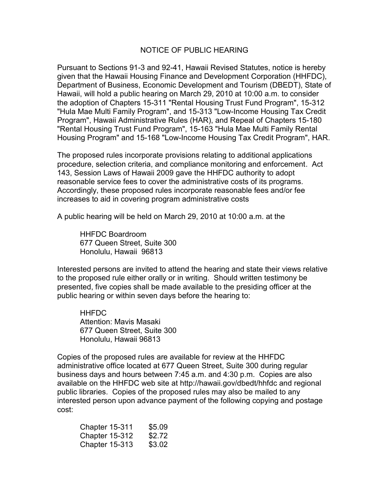## NOTICE OF PUBLIC HEARING

Pursuant to Sections 91-3 and 92-41, Hawaii Revised Statutes, notice is hereby given that the Hawaii Housing Finance and Development Corporation (HHFDC), Department of Business, Economic Development and Tourism (DBEDT), State of Hawaii, will hold a public hearing on March 29, 2010 at 10:00 a.m. to consider the adoption of Chapters 15-311 "Rental Housing Trust Fund Program", 15-312 "Hula Mae Multi Family Program", and 15-313 "Low-Income Housing Tax Credit Program", Hawaii Administrative Rules (HAR), and Repeal of Chapters 15-180 "Rental Housing Trust Fund Program", 15-163 "Hula Mae Multi Family Rental Housing Program" and 15-168 "Low-Income Housing Tax Credit Program", HAR.

The proposed rules incorporate provisions relating to additional applications procedure, selection criteria, and compliance monitoring and enforcement. Act 143, Session Laws of Hawaii 2009 gave the HHFDC authority to adopt reasonable service fees to cover the administrative costs of its programs. Accordingly, these proposed rules incorporate reasonable fees and/or fee increases to aid in covering program administrative costs

A public hearing will be held on March 29, 2010 at 10:00 a.m. at the

HHFDC Boardroom 677 Queen Street, Suite 300 Honolulu, Hawaii 96813

Interested persons are invited to attend the hearing and state their views relative to the proposed rule either orally or in writing. Should written testimony be presented, five copies shall be made available to the presiding officer at the public hearing or within seven days before the hearing to:

**HHFDC** Attention: Mavis Masaki 677 Queen Street, Suite 300 Honolulu, Hawaii 96813

Copies of the proposed rules are available for review at the HHFDC administrative office located at 677 Queen Street, Suite 300 during regular business days and hours between 7:45 a.m. and 4:30 p.m. Copies are also available on the HHFDC web site at http://hawaii.gov/dbedt/hhfdc and regional public libraries. Copies of the proposed rules may also be mailed to any interested person upon advance payment of the following copying and postage cost:

| Chapter 15-311        | \$5.09 |
|-----------------------|--------|
| <b>Chapter 15-312</b> | \$2.72 |
| <b>Chapter 15-313</b> | \$3.02 |